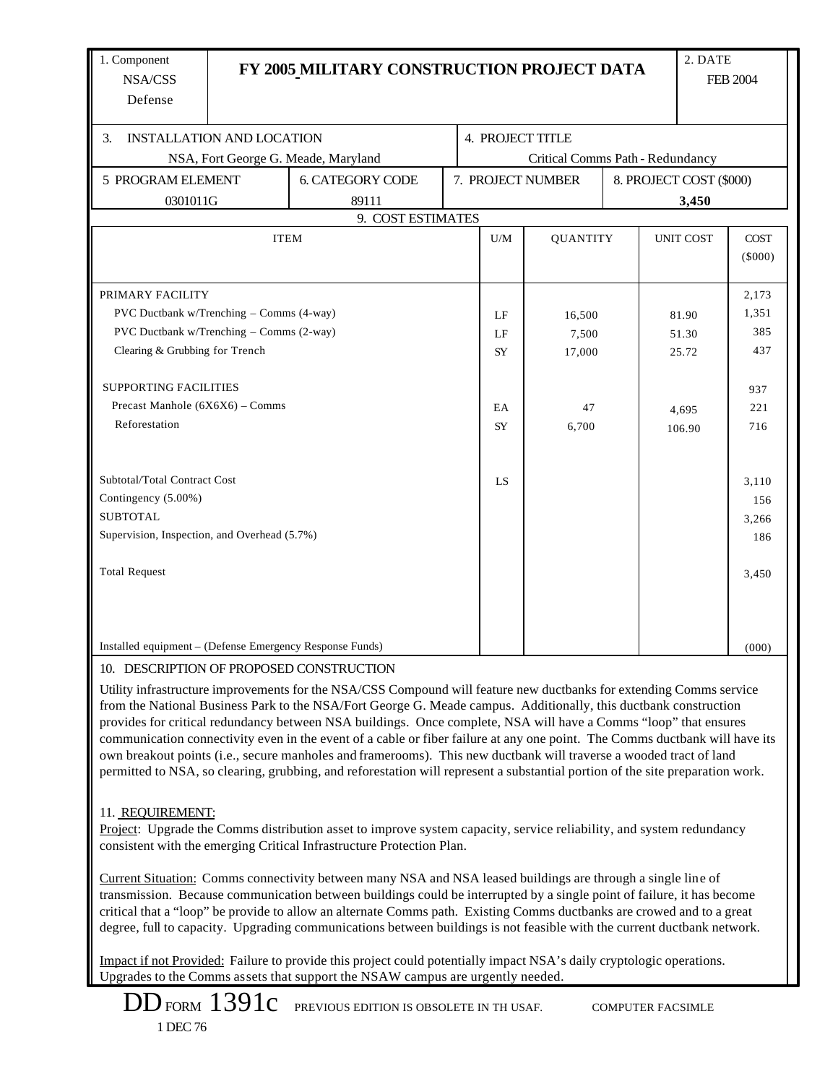| 1. Component<br>NSA/CSS<br>Defense                       |                   | FY 2005 MILITARY CONSTRUCTION PROJECT DATA                                                                                                                                                                                                                                                                                                                                                                                                                                                                                                                                                                                                                                                                                                        |                                  |                  |                 |                         | 2. DATE          | <b>FEB 2004</b>          |  |
|----------------------------------------------------------|-------------------|---------------------------------------------------------------------------------------------------------------------------------------------------------------------------------------------------------------------------------------------------------------------------------------------------------------------------------------------------------------------------------------------------------------------------------------------------------------------------------------------------------------------------------------------------------------------------------------------------------------------------------------------------------------------------------------------------------------------------------------------------|----------------------------------|------------------|-----------------|-------------------------|------------------|--------------------------|--|
| <b>INSTALLATION AND LOCATION</b><br>3.                   |                   |                                                                                                                                                                                                                                                                                                                                                                                                                                                                                                                                                                                                                                                                                                                                                   |                                  | 4. PROJECT TITLE |                 |                         |                  |                          |  |
| NSA, Fort George G. Meade, Maryland                      |                   |                                                                                                                                                                                                                                                                                                                                                                                                                                                                                                                                                                                                                                                                                                                                                   | Critical Comms Path - Redundancy |                  |                 |                         |                  |                          |  |
| 5 PROGRAM ELEMENT                                        |                   | <b>6. CATEGORY CODE</b>                                                                                                                                                                                                                                                                                                                                                                                                                                                                                                                                                                                                                                                                                                                           | 7. PROJECT NUMBER                |                  |                 | 8. PROJECT COST (\$000) |                  |                          |  |
|                                                          | 0301011G<br>89111 |                                                                                                                                                                                                                                                                                                                                                                                                                                                                                                                                                                                                                                                                                                                                                   |                                  |                  |                 |                         | 3,450            |                          |  |
|                                                          |                   | 9. COST ESTIMATES                                                                                                                                                                                                                                                                                                                                                                                                                                                                                                                                                                                                                                                                                                                                 |                                  |                  |                 |                         |                  |                          |  |
|                                                          |                   | <b>ITEM</b>                                                                                                                                                                                                                                                                                                                                                                                                                                                                                                                                                                                                                                                                                                                                       |                                  | U/M              | <b>QUANTITY</b> |                         | <b>UNIT COST</b> | <b>COST</b><br>$(\$000)$ |  |
| PRIMARY FACILITY                                         |                   |                                                                                                                                                                                                                                                                                                                                                                                                                                                                                                                                                                                                                                                                                                                                                   |                                  |                  |                 |                         |                  | 2,173                    |  |
| PVC Ductbank w/Trenching - Comms (4-way)                 |                   |                                                                                                                                                                                                                                                                                                                                                                                                                                                                                                                                                                                                                                                                                                                                                   |                                  | LF               | 16,500          |                         | 81.90            | 1,351                    |  |
| PVC Ductbank w/Trenching - Comms (2-way)                 |                   |                                                                                                                                                                                                                                                                                                                                                                                                                                                                                                                                                                                                                                                                                                                                                   |                                  | LF               | 7,500           |                         | 51.30            | 385                      |  |
| Clearing & Grubbing for Trench                           |                   |                                                                                                                                                                                                                                                                                                                                                                                                                                                                                                                                                                                                                                                                                                                                                   |                                  | <b>SY</b>        | 17,000          |                         | 25.72            | 437                      |  |
| <b>SUPPORTING FACILITIES</b>                             |                   |                                                                                                                                                                                                                                                                                                                                                                                                                                                                                                                                                                                                                                                                                                                                                   |                                  |                  |                 |                         |                  | 937                      |  |
| Precast Manhole $(6X6X6)$ – Comms                        |                   |                                                                                                                                                                                                                                                                                                                                                                                                                                                                                                                                                                                                                                                                                                                                                   |                                  | EA               | 47              |                         | 4,695            | 221                      |  |
| Reforestation                                            |                   |                                                                                                                                                                                                                                                                                                                                                                                                                                                                                                                                                                                                                                                                                                                                                   |                                  | <b>SY</b>        | 6,700           |                         | 106.90           | 716                      |  |
| Subtotal/Total Contract Cost                             |                   |                                                                                                                                                                                                                                                                                                                                                                                                                                                                                                                                                                                                                                                                                                                                                   |                                  | LS.              |                 |                         |                  | 3,110                    |  |
| Contingency (5.00%)                                      |                   |                                                                                                                                                                                                                                                                                                                                                                                                                                                                                                                                                                                                                                                                                                                                                   |                                  |                  |                 |                         |                  | 156                      |  |
| <b>SUBTOTAL</b>                                          |                   |                                                                                                                                                                                                                                                                                                                                                                                                                                                                                                                                                                                                                                                                                                                                                   |                                  |                  |                 |                         |                  | 3,266                    |  |
| Supervision, Inspection, and Overhead (5.7%)             |                   |                                                                                                                                                                                                                                                                                                                                                                                                                                                                                                                                                                                                                                                                                                                                                   |                                  |                  |                 |                         |                  | 186                      |  |
| <b>Total Request</b>                                     |                   |                                                                                                                                                                                                                                                                                                                                                                                                                                                                                                                                                                                                                                                                                                                                                   |                                  |                  |                 |                         |                  | 3,450                    |  |
| Installed equipment – (Defense Emergency Response Funds) |                   |                                                                                                                                                                                                                                                                                                                                                                                                                                                                                                                                                                                                                                                                                                                                                   |                                  |                  |                 |                         |                  | (000)                    |  |
| 10. DESCRIPTION OF PROPOSED CONSTRUCTION                 |                   | Utility infrastructure improvements for the NSA/CSS Compound will feature new ductbanks for extending Comms service<br>from the National Business Park to the NSA/Fort George G. Meade campus. Additionally, this ductbank construction<br>provides for critical redundancy between NSA buildings. Once complete, NSA will have a Comms "loop" that ensures<br>communication connectivity even in the event of a cable or fiber failure at any one point. The Comms ductbank will have its<br>own breakout points (i.e., secure manholes and framerooms). This new ductbank will traverse a wooded tract of land<br>permitted to NSA, so clearing, grubbing, and reforestation will represent a substantial portion of the site preparation work. |                                  |                  |                 |                         |                  |                          |  |
| 11. REQUIREMENT:                                         |                   | Project: Upgrade the Comms distribution asset to improve system capacity, service reliability, and system redundancy<br>consistent with the emerging Critical Infrastructure Protection Plan.<br>Current Situation: Comms connectivity between many NSA and NSA leased buildings are through a single line of<br>transmission. Because communication between buildings could be interrupted by a single point of failure, it has become<br>critical that a "loop" be provide to allow an alternate Comms path. Existing Comms ductbanks are crowed and to a great                                                                                                                                                                                 |                                  |                  |                 |                         |                  |                          |  |
|                                                          |                   | degree, full to capacity. Upgrading communications between buildings is not feasible with the current ductbank network.<br>Impact if not Provided: Failure to provide this project could potentially impact NSA's daily cryptologic operations.<br>Upgrades to the Comms assets that support the NSAW campus are urgently needed.                                                                                                                                                                                                                                                                                                                                                                                                                 |                                  |                  |                 |                         |                  |                          |  |

DD FORM  $1391c$  previous edition is obsolete in th usaf. computer facsimle 1 DEC 76